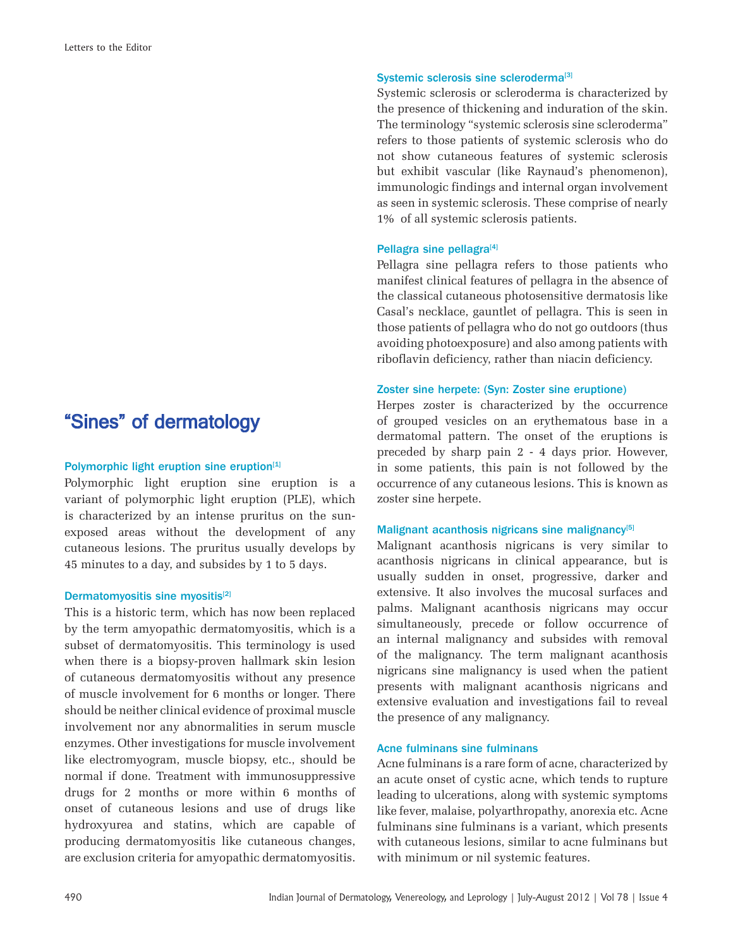# "Sines" of dermatology

#### Polymorphic light eruption sine eruption<sup>[1]</sup>

Polymorphic light eruption sine eruption is a variant of polymorphic light eruption (PLE), which is characterized by an intense pruritus on the sunexposed areas without the development of any cutaneous lesions. The pruritus usually develops by 45 minutes to a day, and subsides by 1 to 5 days.

#### Dermatomyositis sine myositis<sup>[2]</sup>

This is a historic term, which has now been replaced by the term amyopathic dermatomyositis, which is a subset of dermatomyositis. This terminology is used when there is a biopsy-proven hallmark skin lesion of cutaneous dermatomyositis without any presence of muscle involvement for 6 months or longer. There should be neither clinical evidence of proximal muscle involvement nor any abnormalities in serum muscle enzymes. Other investigations for muscle involvement like electromyogram, muscle biopsy, etc., should be normal if done. Treatment with immunosuppressive drugs for 2 months or more within 6 months of onset of cutaneous lesions and use of drugs like hydroxyurea and statins, which are capable of producing dermatomyositis like cutaneous changes, are exclusion criteria for amyopathic dermatomyositis.

### Systemic sclerosis sine scleroderma<sup>[3]</sup>

Systemic sclerosis or scleroderma is characterized by the presence of thickening and induration of the skin. The terminology "systemic sclerosis sine scleroderma" refers to those patients of systemic sclerosis who do not show cutaneous features of systemic sclerosis but exhibit vascular (like Raynaud's phenomenon), immunologic findings and internal organ involvement as seen in systemic sclerosis. These comprise of nearly 1% of all systemic sclerosis patients.

#### Pellagra sine pellagra<sup>[4]</sup>

Pellagra sine pellagra refers to those patients who manifest clinical features of pellagra in the absence of the classical cutaneous photosensitive dermatosis like Casal's necklace, gauntlet of pellagra. This is seen in those patients of pellagra who do not go outdoors (thus avoiding photoexposure) and also among patients with riboflavin deficiency, rather than niacin deficiency.

#### Zoster sine herpete: (Syn: Zoster sine eruptione)

Herpes zoster is characterized by the occurrence of grouped vesicles on an erythematous base in a dermatomal pattern. The onset of the eruptions is preceded by sharp pain 2 - 4 days prior. However, in some patients, this pain is not followed by the occurrence of any cutaneous lesions. This is known as zoster sine herpete.

### Malignant acanthosis nigricans sine malignancy<sup>[5]</sup>

Malignant acanthosis nigricans is very similar to acanthosis nigricans in clinical appearance, but is usually sudden in onset, progressive, darker and extensive. It also involves the mucosal surfaces and palms. Malignant acanthosis nigricans may occur simultaneously, precede or follow occurrence of an internal malignancy and subsides with removal of the malignancy. The term malignant acanthosis nigricans sine malignancy is used when the patient presents with malignant acanthosis nigricans and extensive evaluation and investigations fail to reveal the presence of any malignancy.

#### Acne fulminans sine fulminans

Acne fulminans is a rare form of acne, characterized by an acute onset of cystic acne, which tends to rupture leading to ulcerations, along with systemic symptoms like fever, malaise, polyarthropathy, anorexia etc. Acne fulminans sine fulminans is a variant, which presents with cutaneous lesions, similar to acne fulminans but with minimum or nil systemic features.